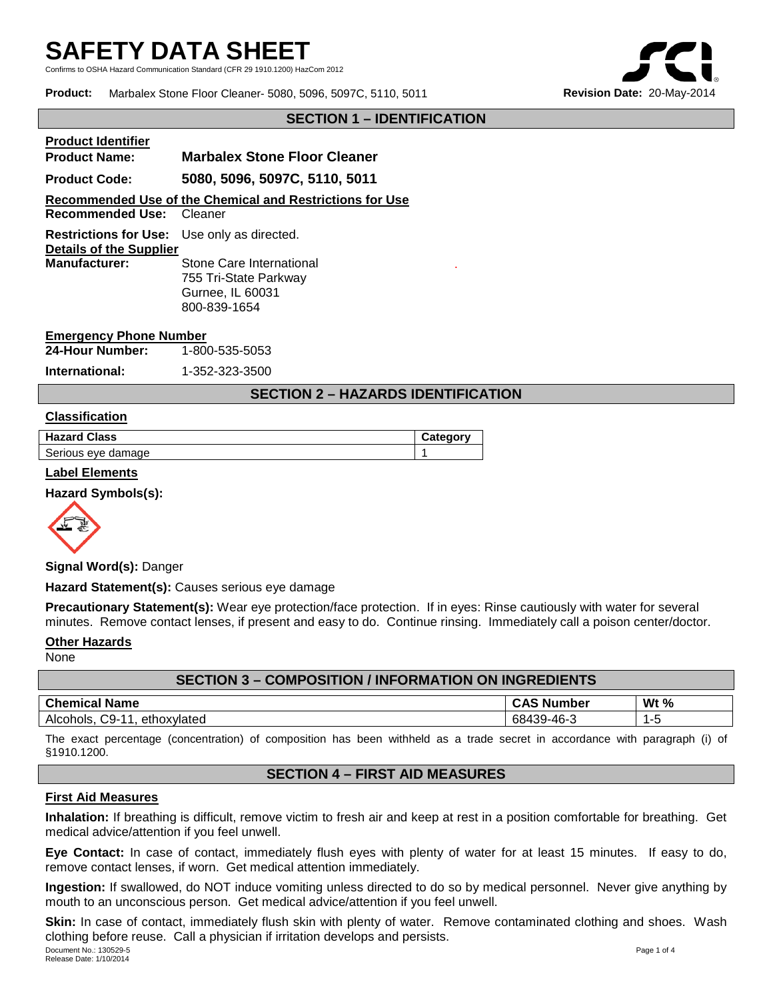Confirms to OSHA Hazard Communication Standard (CFR 29 1910.1200) HazCom 2012

**Product:** Marbalex Stone Floor Cleaner- 5080, 5096, 5097C, 5110, 5011 **Revision Date:** 20-May-2014



## **SECTION 1 – IDENTIFICATION**

**Product Identifier Product Name: Marbalex Stone Floor Cleaner Product Code: 5080, 5096, 5097C, 5110, 5011 Recommended Use of the Chemical and Restrictions for Use Recommended Use:** Cleaner **Restrictions for Use:** Use only as directed. **Details of the Supplier Stone Care International** 755 Tri-State Parkway Gurnee, IL 60031 800-839-1654

#### **Emergency Phone Number**

| 24-Hour Number: | 1-800-535-5053              |
|-----------------|-----------------------------|
| .               | $\overline{1}$ are and area |

#### **International:** 1-352-323-3500

## **SECTION 2 – HAZARDS IDENTIFICATION**

.

#### **Classification**

| <b>Hazard Class</b> | <b>Category</b> |
|---------------------|-----------------|
| Serious eye damage  |                 |

#### **Label Elements**

#### **Hazard Symbols(s):**



**Signal Word(s):** Danger

#### **Hazard Statement(s):** Causes serious eye damage

**Precautionary Statement(s):** Wear eye protection/face protection. If in eyes: Rinse cautiously with water for several minutes. Remove contact lenses, if present and easy to do. Continue rinsing. Immediately call a poison center/doctor.

## **Other Hazards**

None

| <b>SECTION 3 - COMPOSITION / INFORMATION ON INGREDIENTS</b> |                   |        |
|-------------------------------------------------------------|-------------------|--------|
| <b>Chemical Name</b>                                        | <b>CAS Number</b> | Wt $%$ |
| Alcohols, C9-11, ethoxylated                                | 68439-46-3        | 1-5    |

The exact percentage (concentration) of composition has been withheld as a trade secret in accordance with paragraph (i) of §1910.1200.

# **SECTION 4 – FIRST AID MEASURES**

#### **First Aid Measures**

**Inhalation:** If breathing is difficult, remove victim to fresh air and keep at rest in a position comfortable for breathing. Get medical advice/attention if you feel unwell.

**Eye Contact:** In case of contact, immediately flush eyes with plenty of water for at least 15 minutes. If easy to do, remove contact lenses, if worn. Get medical attention immediately.

**Ingestion:** If swallowed, do NOT induce vomiting unless directed to do so by medical personnel. Never give anything by mouth to an unconscious person. Get medical advice/attention if you feel unwell.

Document No.: 130529-5 Page 1 of 4 Release Date: 1/10/2014 **Skin:** In case of contact, immediately flush skin with plenty of water. Remove contaminated clothing and shoes. Wash clothing before reuse. Call a physician if irritation develops and persists.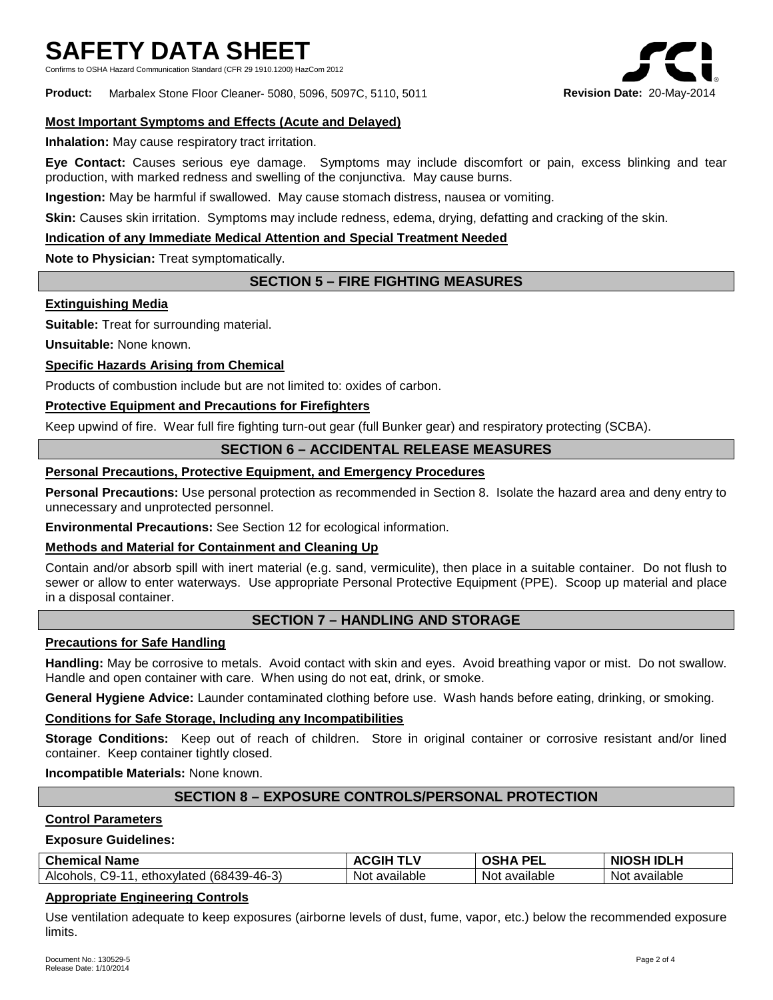Confirms to OSHA Hazard Communication Standard (CFR 29 1910.1200) HazCom 2012

**Product:** Marbalex Stone Floor Cleaner- 5080, 5096, 5097C, 5110, 5011 **Revision Date:** 20-May-2014

## **Most Important Symptoms and Effects (Acute and Delayed)**

**Inhalation:** May cause respiratory tract irritation.

**Eye Contact:** Causes serious eye damage. Symptoms may include discomfort or pain, excess blinking and tear production, with marked redness and swelling of the conjunctiva. May cause burns.

**Ingestion:** May be harmful if swallowed. May cause stomach distress, nausea or vomiting.

**Skin:** Causes skin irritation. Symptoms may include redness, edema, drying, defatting and cracking of the skin.

## **Indication of any Immediate Medical Attention and Special Treatment Needed**

**Note to Physician:** Treat symptomatically.

# **SECTION 5 – FIRE FIGHTING MEASURES**

#### **Extinguishing Media**

**Suitable:** Treat for surrounding material.

**Unsuitable:** None known.

## **Specific Hazards Arising from Chemical**

Products of combustion include but are not limited to: oxides of carbon.

## **Protective Equipment and Precautions for Firefighters**

Keep upwind of fire. Wear full fire fighting turn-out gear (full Bunker gear) and respiratory protecting (SCBA).

## **SECTION 6 – ACCIDENTAL RELEASE MEASURES**

## **Personal Precautions, Protective Equipment, and Emergency Procedures**

**Personal Precautions:** Use personal protection as recommended in Section 8. Isolate the hazard area and deny entry to unnecessary and unprotected personnel.

**Environmental Precautions:** See Section 12 for ecological information.

## **Methods and Material for Containment and Cleaning Up**

Contain and/or absorb spill with inert material (e.g. sand, vermiculite), then place in a suitable container. Do not flush to sewer or allow to enter waterways. Use appropriate Personal Protective Equipment (PPE). Scoop up material and place in a disposal container.

## **SECTION 7 – HANDLING AND STORAGE**

## **Precautions for Safe Handling**

**Handling:** May be corrosive to metals. Avoid contact with skin and eyes. Avoid breathing vapor or mist. Do not swallow. Handle and open container with care. When using do not eat, drink, or smoke.

**General Hygiene Advice:** Launder contaminated clothing before use. Wash hands before eating, drinking, or smoking.

#### **Conditions for Safe Storage, Including any Incompatibilities**

**Storage Conditions:** Keep out of reach of children. Store in original container or corrosive resistant and/or lined container. Keep container tightly closed.

**Incompatible Materials:** None known.

# **SECTION 8 – EXPOSURE CONTROLS/PERSONAL PROTECTION**

#### **Control Parameters**

## **Exposure Guidelines:**

| <b>Chemical Name</b>                           | <b>TLV</b><br><b>ACGIH</b> | DE.<br>OSHA<br>ь. | 1 IDLH<br><b>NIOSH</b> |
|------------------------------------------------|----------------------------|-------------------|------------------------|
| Alcohols,<br>ethoxylated (68439-46-3)<br>C9-11 | available<br>Not.          | Not available     | Not available          |

## **Appropriate Engineering Controls**

Use ventilation adequate to keep exposures (airborne levels of dust, fume, vapor, etc.) below the recommended exposure limits.

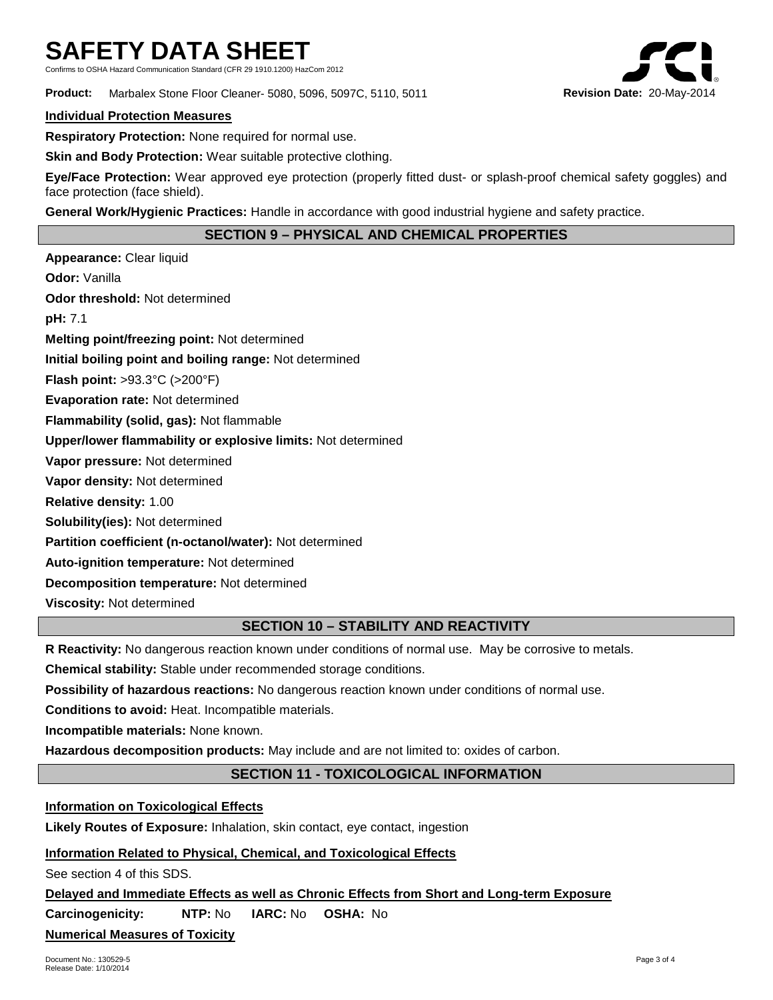Confirms to OSHA Hazard Communication Standard (CFR 29 1910.1200) HazCom 2012

**Product:** Marbalex Stone Floor Cleaner- 5080, 5096, 5097C, 5110, 5011 **Revision Date:** 20-May-2014

#### **Individual Protection Measures**

**Respiratory Protection:** None required for normal use.

**Skin and Body Protection:** Wear suitable protective clothing.

**Eye/Face Protection:** Wear approved eye protection (properly fitted dust- or splash-proof chemical safety goggles) and face protection (face shield).

**General Work/Hygienic Practices:** Handle in accordance with good industrial hygiene and safety practice.

# **SECTION 9 – PHYSICAL AND CHEMICAL PROPERTIES**

**Appearance:** Clear liquid **Odor:** Vanilla **Odor threshold:** Not determined **pH:** 7.1 **Melting point/freezing point:** Not determined **Initial boiling point and boiling range:** Not determined **Flash point:** >93.3°C (>200°F) **Evaporation rate:** Not determined **Flammability (solid, gas):** Not flammable **Upper/lower flammability or explosive limits:** Not determined **Vapor pressure:** Not determined **Vapor density:** Not determined **Relative density:** 1.00 **Solubility(ies):** Not determined **Partition coefficient (n-octanol/water):** Not determined **Auto-ignition temperature:** Not determined **Decomposition temperature:** Not determined **Viscosity:** Not determined

# **SECTION 10 – STABILITY AND REACTIVITY**

**R Reactivity:** No dangerous reaction known under conditions of normal use. May be corrosive to metals.

**Chemical stability:** Stable under recommended storage conditions.

**Possibility of hazardous reactions:** No dangerous reaction known under conditions of normal use.

**Conditions to avoid:** Heat. Incompatible materials.

**Incompatible materials:** None known.

**Hazardous decomposition products:** May include and are not limited to: oxides of carbon.

# **SECTION 11 - TOXICOLOGICAL INFORMATION**

**Information on Toxicological Effects**

**Likely Routes of Exposure:** Inhalation, skin contact, eye contact, ingestion

**Information Related to Physical, Chemical, and Toxicological Effects**

See section 4 of this SDS.

**Delayed and Immediate Effects as well as Chronic Effects from Short and Long-term Exposure**

**Carcinogenicity: NTP:** No **IARC:** No **OSHA:** No

**Numerical Measures of Toxicity**